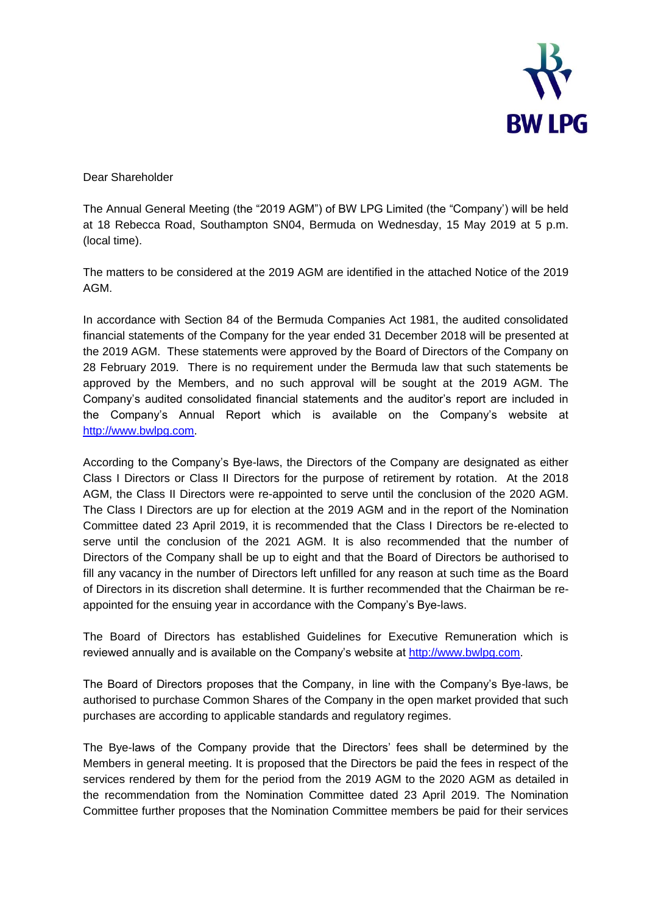

Dear Shareholder

The Annual General Meeting (the "2019 AGM") of BW LPG Limited (the "Company') will be held at 18 Rebecca Road, Southampton SN04, Bermuda on Wednesday, 15 May 2019 at 5 p.m. (local time).

The matters to be considered at the 2019 AGM are identified in the attached Notice of the 2019 AGM.

In accordance with Section 84 of the Bermuda Companies Act 1981, the audited consolidated financial statements of the Company for the year ended 31 December 2018 will be presented at the 2019 AGM. These statements were approved by the Board of Directors of the Company on 28 February 2019. There is no requirement under the Bermuda law that such statements be approved by the Members, and no such approval will be sought at the 2019 AGM. The Company's audited consolidated financial statements and the auditor's report are included in the Company's Annual Report which is available on the Company's website at [http://www.bwlpg.com.](http://www.bwlpg.com/)

According to the Company's Bye-laws, the Directors of the Company are designated as either Class I Directors or Class II Directors for the purpose of retirement by rotation. At the 2018 AGM, the Class II Directors were re-appointed to serve until the conclusion of the 2020 AGM. The Class I Directors are up for election at the 2019 AGM and in the report of the Nomination Committee dated 23 April 2019, it is recommended that the Class I Directors be re-elected to serve until the conclusion of the 2021 AGM. It is also recommended that the number of Directors of the Company shall be up to eight and that the Board of Directors be authorised to fill any vacancy in the number of Directors left unfilled for any reason at such time as the Board of Directors in its discretion shall determine. It is further recommended that the Chairman be reappointed for the ensuing year in accordance with the Company's Bye-laws.

The Board of Directors has established Guidelines for Executive Remuneration which is reviewed annually and is available on the Company's website at [http://www.bwlpg.com.](http://www.bwlpg.com/)

The Board of Directors proposes that the Company, in line with the Company's Bye-laws, be authorised to purchase Common Shares of the Company in the open market provided that such purchases are according to applicable standards and regulatory regimes.

The Bye-laws of the Company provide that the Directors' fees shall be determined by the Members in general meeting. It is proposed that the Directors be paid the fees in respect of the services rendered by them for the period from the 2019 AGM to the 2020 AGM as detailed in the recommendation from the Nomination Committee dated 23 April 2019. The Nomination Committee further proposes that the Nomination Committee members be paid for their services